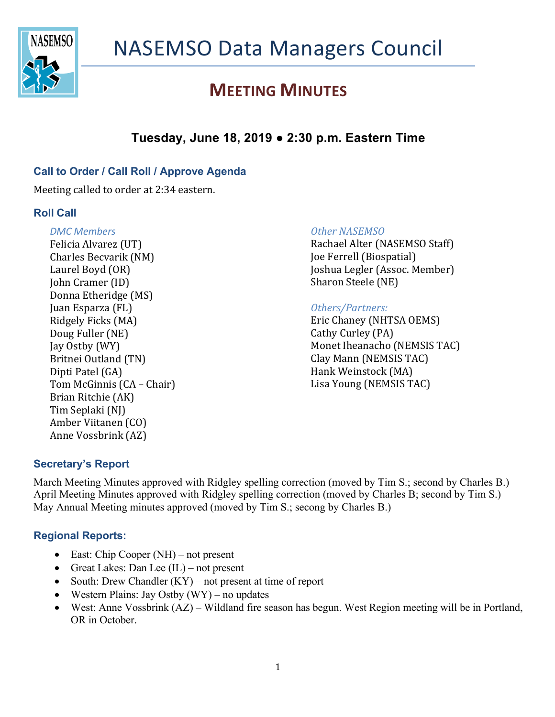

## **Tuesday, June 18, 2019 ● 2:30 p.m. Eastern Time**

### **Call to Order / Call Roll / Approve Agenda**

Meeting called to order at 2:34 eastern.

#### **Roll Call**

#### *DMC Members*

Felicia Alvarez (UT) Charles Becvarik (NM) Laurel Boyd (OR) John Cramer (ID) Donna Etheridge (MS) Juan Esparza (FL) Ridgely Ficks (MA) Doug Fuller (NE) Jay Ostby (WY) Britnei Outland (TN) Dipti Patel (GA) Tom McGinnis (CA – Chair) Brian Ritchie (AK) Tim Seplaki (NJ) Amber Viitanen (CO) Anne Vossbrink (AZ)

#### **Other NASEMSO**

Rachael Alter (NASEMSO Staff) Joe Ferrell (Biospatial) Joshua Legler (Assoc. Member) Sharon Steele (NE)

#### *Others/Partners:*

Eric Chaney (NHTSA OEMS) Cathy Curley (PA) Monet Iheanacho (NEMSIS TAC) Clay Mann (NEMSIS TAC) Hank Weinstock (MA) Lisa Young (NEMSIS TAC)

#### **Secretary's Report**

March Meeting Minutes approved with Ridgley spelling correction (moved by Tim S.; second by Charles B.) April Meeting Minutes approved with Ridgley spelling correction (moved by Charles B; second by Tim S.) May Annual Meeting minutes approved (moved by Tim S.; secong by Charles B.)

#### **Regional Reports:**

- East: Chip Cooper (NH) not present
- Great Lakes: Dan Lee (IL) not present
- South: Drew Chandler  $(KY)$  not present at time of report
- Western Plains: Jay Ostby  $(WY)$  no updates
- West: Anne Vossbrink (AZ) Wildland fire season has begun. West Region meeting will be in Portland, OR in October.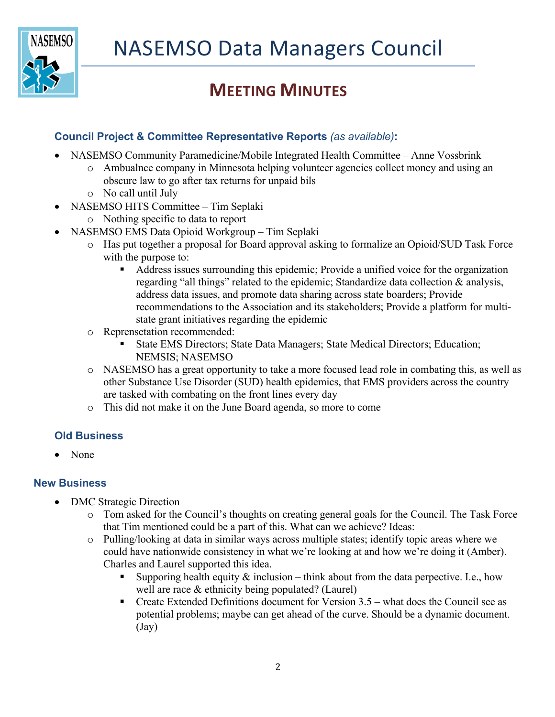

### **Council Project & Committee Representative Reports** *(as available)***:**

- NASEMSO Community Paramedicine/Mobile Integrated Health Committee Anne Vossbrink
	- o Ambualnce company in Minnesota helping volunteer agencies collect money and using an obscure law to go after tax returns for unpaid bils
	- o No call until July
- NASEMSO HITS Committee Tim Seplaki
	- o Nothing specific to data to report
- NASEMSO EMS Data Opioid Workgroup Tim Seplaki
	- o Has put together a proposal for Board approval asking to formalize an Opioid/SUD Task Force with the purpose to:
		- Address issues surrounding this epidemic; Provide a unified voice for the organization regarding "all things" related to the epidemic; Standardize data collection & analysis, address data issues, and promote data sharing across state boarders; Provide recommendations to the Association and its stakeholders; Provide a platform for multistate grant initiatives regarding the epidemic
	- o Reprensetation recommended:
		- § State EMS Directors; State Data Managers; State Medical Directors; Education; NEMSIS; NASEMSO
	- o NASEMSO has a great opportunity to take a more focused lead role in combating this, as well as other Substance Use Disorder (SUD) health epidemics, that EMS providers across the country are tasked with combating on the front lines every day
	- o This did not make it on the June Board agenda, so more to come

#### **Old Business**

• None

#### **New Business**

- DMC Strategic Direction
	- o Tom asked for the Council's thoughts on creating general goals for the Council. The Task Force that Tim mentioned could be a part of this. What can we achieve? Ideas:
	- o Pulling/looking at data in similar ways across multiple states; identify topic areas where we could have nationwide consistency in what we're looking at and how we're doing it (Amber). Charles and Laurel supported this idea.
		- Supporing health equity  $&$  inclusion think about from the data perpective. I.e., how well are race & ethnicity being populated? (Laurel)
		- Freate Extended Definitions document for Version  $3.5$  what does the Council see as potential problems; maybe can get ahead of the curve. Should be a dynamic document. (Jay)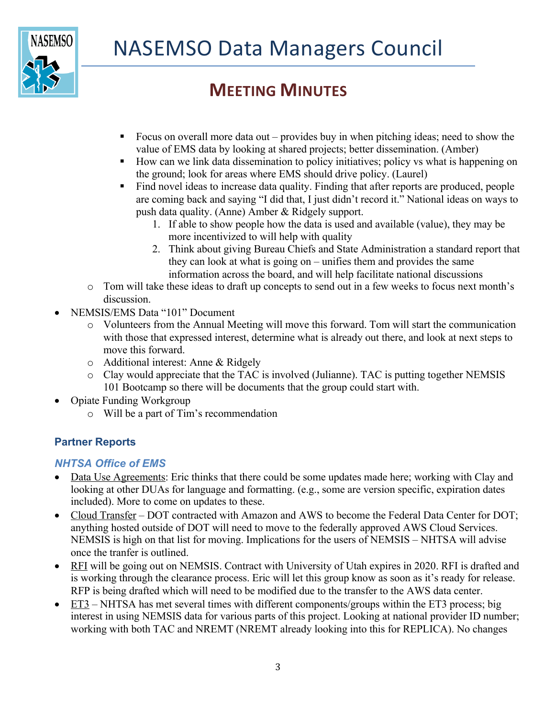

- Focus on overall more data out provides buy in when pitching ideas; need to show the value of EMS data by looking at shared projects; better dissemination. (Amber)
- § How can we link data dissemination to policy initiatives; policy vs what is happening on the ground; look for areas where EMS should drive policy. (Laurel)
- Find novel ideas to increase data quality. Finding that after reports are produced, people are coming back and saying "I did that, I just didn't record it." National ideas on ways to push data quality. (Anne) Amber & Ridgely support.
	- 1. If able to show people how the data is used and available (value), they may be more incentivized to will help with quality
	- 2. Think about giving Bureau Chiefs and State Administration a standard report that they can look at what is going on – unifies them and provides the same information across the board, and will help facilitate national discussions
- o Tom will take these ideas to draft up concepts to send out in a few weeks to focus next month's discussion.
- NEMSIS/EMS Data "101" Document
	- o Volunteers from the Annual Meeting will move this forward. Tom will start the communication with those that expressed interest, determine what is already out there, and look at next steps to move this forward.
	- o Additional interest: Anne & Ridgely
	- o Clay would appreciate that the TAC is involved (Julianne). TAC is putting together NEMSIS 101 Bootcamp so there will be documents that the group could start with.
- Opiate Funding Workgroup
	- o Will be a part of Tim's recommendation

### **Partner Reports**

### *NHTSA Office of EMS*

- Data Use Agreements: Eric thinks that there could be some updates made here; working with Clay and looking at other DUAs for language and formatting. (e.g., some are version specific, expiration dates included). More to come on updates to these.
- Cloud Transfer DOT contracted with Amazon and AWS to become the Federal Data Center for DOT; anything hosted outside of DOT will need to move to the federally approved AWS Cloud Services. NEMSIS is high on that list for moving. Implications for the users of NEMSIS – NHTSA will advise once the tranfer is outlined.
- RFI will be going out on NEMSIS. Contract with University of Utah expires in 2020. RFI is drafted and is working through the clearance process. Eric will let this group know as soon as it's ready for release. RFP is being drafted which will need to be modified due to the transfer to the AWS data center.
- ET3 NHTSA has met several times with different components/groups within the ET3 process; big interest in using NEMSIS data for various parts of this project. Looking at national provider ID number; working with both TAC and NREMT (NREMT already looking into this for REPLICA). No changes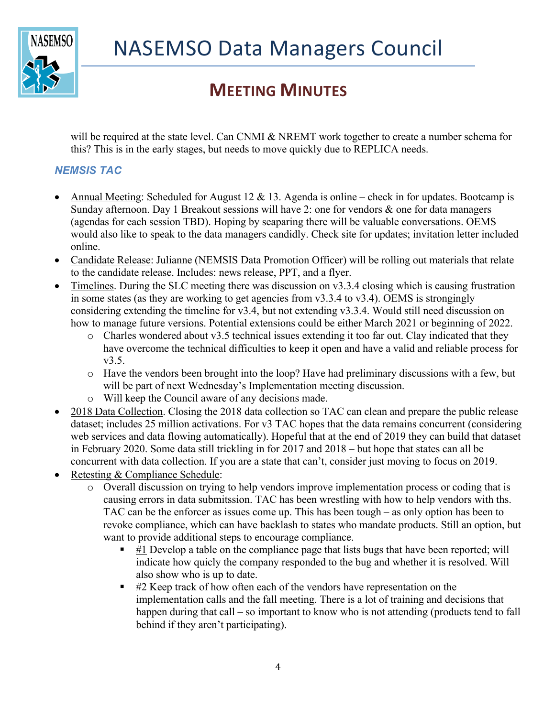

will be required at the state level. Can CNMI & NREMT work together to create a number schema for this? This is in the early stages, but needs to move quickly due to REPLICA needs.

### *NEMSIS TAC*

- Annual Meeting: Scheduled for August 12  $\&$  13. Agenda is online check in for updates. Bootcamp is Sunday afternoon. Day 1 Breakout sessions will have 2: one for vendors & one for data managers (agendas for each session TBD). Hoping by seaparing there will be valuable conversations. OEMS would also like to speak to the data managers candidly. Check site for updates; invitation letter included online.
- Candidate Release: Julianne (NEMSIS Data Promotion Officer) will be rolling out materials that relate to the candidate release. Includes: news release, PPT, and a flyer.
- Timelines. During the SLC meeting there was discussion on v3.3.4 closing which is causing frustration in some states (as they are working to get agencies from v3.3.4 to v3.4). OEMS is strongingly considering extending the timeline for v3.4, but not extending v3.3.4. Would still need discussion on how to manage future versions. Potential extensions could be either March 2021 or beginning of 2022.
	- $\circ$  Charles wondered about v3.5 technical issues extending it too far out. Clay indicated that they have overcome the technical difficulties to keep it open and have a valid and reliable process for v3.5.
	- o Have the vendors been brought into the loop? Have had preliminary discussions with a few, but will be part of next Wednesday's Implementation meeting discussion.
	- o Will keep the Council aware of any decisions made.
- 2018 Data Collection. Closing the 2018 data collection so TAC can clean and prepare the public release dataset; includes 25 million activations. For v3 TAC hopes that the data remains concurrent (considering web services and data flowing automatically). Hopeful that at the end of 2019 they can build that dataset in February 2020. Some data still trickling in for 2017 and 2018 – but hope that states can all be concurrent with data collection. If you are a state that can't, consider just moving to focus on 2019.
- Retesting & Compliance Schedule:
	- o Overall discussion on trying to help vendors improve implementation process or coding that is causing errors in data submitssion. TAC has been wrestling with how to help vendors with ths. TAC can be the enforcer as issues come up. This has been tough – as only option has been to revoke compliance, which can have backlash to states who mandate products. Still an option, but want to provide additional steps to encourage compliance.
		- $\blacksquare$  #1 Develop a table on the compliance page that lists bugs that have been reported; will indicate how quicly the company responded to the bug and whether it is resolved. Will also show who is up to date.
		- **EXECT**  $\sharp$  **2** Keep track of how often each of the vendors have representation on the implementation calls and the fall meeting. There is a lot of training and decisions that happen during that call – so important to know who is not attending (products tend to fall behind if they aren't participating).